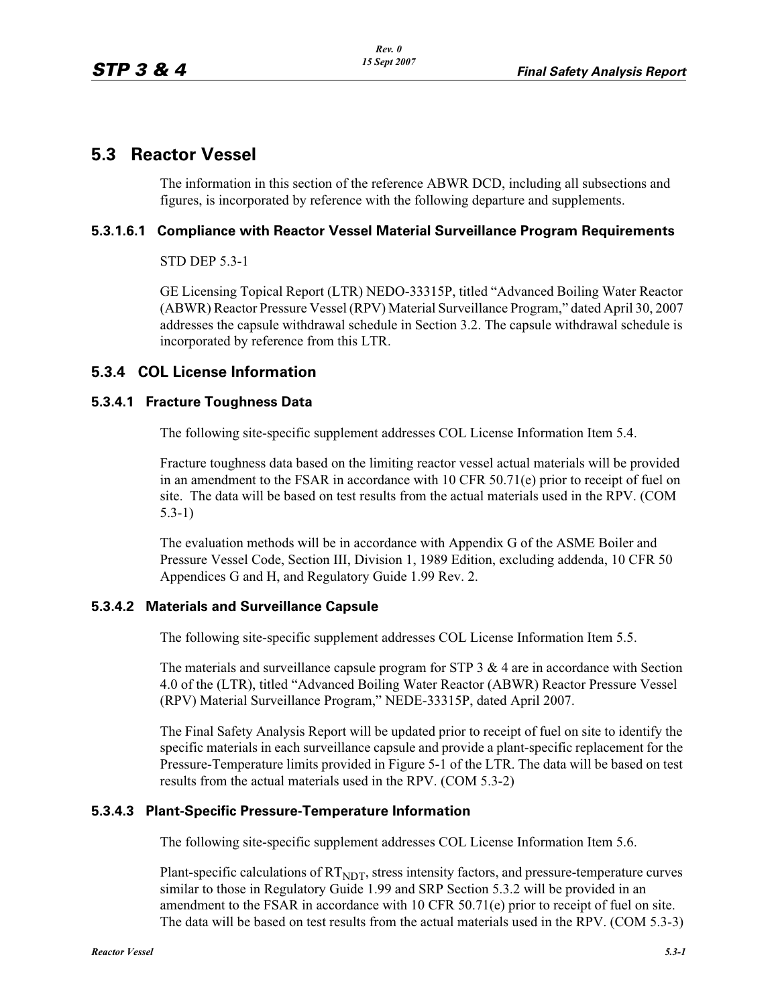# **5.3 Reactor Vessel**

The information in this section of the reference ABWR DCD, including all subsections and figures, is incorporated by reference with the following departure and supplements.

#### **5.3.1.6.1 Compliance with Reactor Vessel Material Surveillance Program Requirements**

STD DEP 5.3-1

GE Licensing Topical Report (LTR) NEDO-33315P, titled "Advanced Boiling Water Reactor (ABWR) Reactor Pressure Vessel (RPV) Material Surveillance Program," dated April 30, 2007 addresses the capsule withdrawal schedule in Section 3.2. The capsule withdrawal schedule is incorporated by reference from this LTR.

## **5.3.4 COL License Information**

#### **5.3.4.1 Fracture Toughness Data**

The following site-specific supplement addresses COL License Information Item 5.4.

Fracture toughness data based on the limiting reactor vessel actual materials will be provided in an amendment to the FSAR in accordance with 10 CFR 50.71(e) prior to receipt of fuel on site. The data will be based on test results from the actual materials used in the RPV. (COM 5.3-1)

The evaluation methods will be in accordance with Appendix G of the ASME Boiler and Pressure Vessel Code, Section III, Division 1, 1989 Edition, excluding addenda, 10 CFR 50 Appendices G and H, and Regulatory Guide 1.99 Rev. 2.

#### **5.3.4.2 Materials and Surveillance Capsule**

The following site-specific supplement addresses COL License Information Item 5.5.

The materials and surveillance capsule program for STP  $3 \& 4$  are in accordance with Section 4.0 of the (LTR), titled "Advanced Boiling Water Reactor (ABWR) Reactor Pressure Vessel (RPV) Material Surveillance Program," NEDE-33315P, dated April 2007.

The Final Safety Analysis Report will be updated prior to receipt of fuel on site to identify the specific materials in each surveillance capsule and provide a plant-specific replacement for the Pressure-Temperature limits provided in Figure 5-1 of the LTR. The data will be based on test results from the actual materials used in the RPV. (COM 5.3-2)

### **5.3.4.3 Plant-Specific Pressure-Temperature Information**

The following site-specific supplement addresses COL License Information Item 5.6.

Plant-specific calculations of  $RT<sub>NDT</sub>$ , stress intensity factors, and pressure-temperature curves similar to those in Regulatory Guide 1.99 and SRP Section 5.3.2 will be provided in an amendment to the FSAR in accordance with 10 CFR 50.71(e) prior to receipt of fuel on site. The data will be based on test results from the actual materials used in the RPV. (COM 5.3-3)